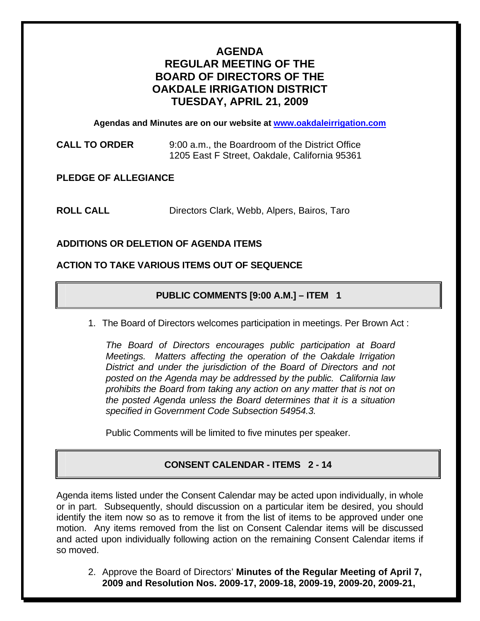# **AGENDA REGULAR MEETING OF THE BOARD OF DIRECTORS OF THE OAKDALE IRRIGATION DISTRICT TUESDAY, APRIL 21, 2009**

**Agendas and Minutes are on our website at [www.oakdaleirrigation.com](http://www.oakdaleirrigation.com/)**

**CALL TO ORDER** 9:00 a.m., the Boardroom of the District Office 1205 East F Street, Oakdale, California 95361

**PLEDGE OF ALLEGIANCE** 

**ROLL CALL** Directors Clark, Webb, Alpers, Bairos, Taro

### **ADDITIONS OR DELETION OF AGENDA ITEMS**

### **ACTION TO TAKE VARIOUS ITEMS OUT OF SEQUENCE**

# **PUBLIC COMMENTS [9:00 A.M.] – ITEM 1**

1. The Board of Directors welcomes participation in meetings. Per Brown Act :

*The Board of Directors encourages public participation at Board Meetings. Matters affecting the operation of the Oakdale Irrigation District and under the jurisdiction of the Board of Directors and not posted on the Agenda may be addressed by the public. California law prohibits the Board from taking any action on any matter that is not on the posted Agenda unless the Board determines that it is a situation specified in Government Code Subsection 54954.3.*

Public Comments will be limited to five minutes per speaker.

# **CONSENT CALENDAR - ITEMS 2 - 14**

Agenda items listed under the Consent Calendar may be acted upon individually, in whole or in part. Subsequently, should discussion on a particular item be desired, you should identify the item now so as to remove it from the list of items to be approved under one motion. Any items removed from the list on Consent Calendar items will be discussed and acted upon individually following action on the remaining Consent Calendar items if so moved.

2. Approve the Board of Directors' **Minutes of the Regular Meeting of April 7, 2009 and Resolution Nos. 2009-17, 2009-18, 2009-19, 2009-20, 2009-21,**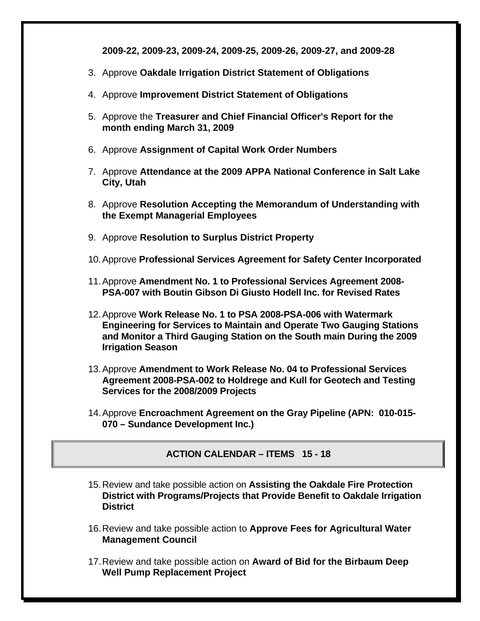**2009-22, 2009-23, 2009-24, 2009-25, 2009-26, 2009-27, and 2009-28**

- 3. Approve **Oakdale Irrigation District Statement of Obligations**
- 4. Approve **Improvement District Statement of Obligations**
- 5. Approve the **Treasurer and Chief Financial Officer's Report for the month ending March 31, 2009**
- 6. Approve **Assignment of Capital Work Order Numbers**
- 7. Approve **Attendance at the 2009 APPA National Conference in Salt Lake City, Utah**
- 8. Approve **Resolution Accepting the Memorandum of Understanding with the Exempt Managerial Employees**
- 9. Approve **Resolution to Surplus District Property**
- 10. Approve **Professional Services Agreement for Safety Center Incorporated**
- 11. Approve **Amendment No. 1 to Professional Services Agreement 2008- PSA-007 with Boutin Gibson Di Giusto Hodell Inc. for Revised Rates**
- 12. Approve **Work Release No. 1 to PSA 2008-PSA-006 with Watermark Engineering for Services to Maintain and Operate Two Gauging Stations and Monitor a Third Gauging Station on the South main During the 2009 Irrigation Season**
- 13. Approve **Amendment to Work Release No. 04 to Professional Services Agreement 2008-PSA-002 to Holdrege and Kull for Geotech and Testing Services for the 2008/2009 Projects**
- 14. Approve **Encroachment Agreement on the Gray Pipeline (APN: 010-015- 070 – Sundance Development Inc.)**

**ACTION CALENDAR – ITEMS 15 - 18** 

- 15. Review and take possible action on **Assisting the Oakdale Fire Protection District with Programs/Projects that Provide Benefit to Oakdale Irrigation District**
- 16. Review and take possible action to **Approve Fees for Agricultural Water Management Council**
- 17. Review and take possible action on **Award of Bid for the Birbaum Deep Well Pump Replacement Project**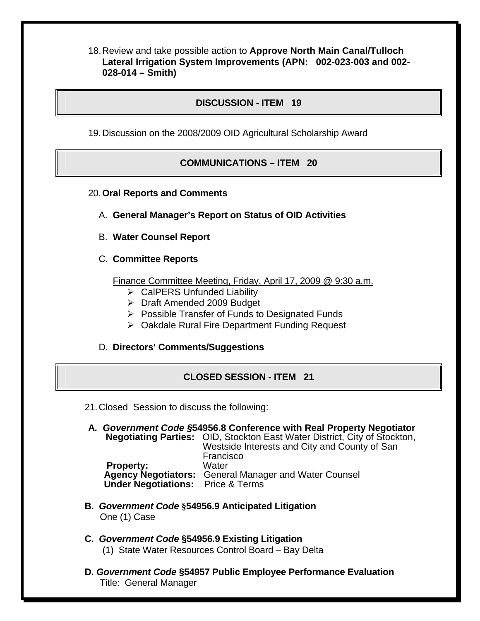18. Review and take possible action to **Approve North Main Canal/Tulloch Lateral Irrigation System Improvements (APN: 002-023-003 and 002- 028-014 – Smith)**

# **DISCUSSION - ITEM 19**

19. Discussion on the 2008/2009 OID Agricultural Scholarship Award

### **COMMUNICATIONS – ITEM 20**

20.**Oral Reports and Comments**

- A. **General Manager's Report on Status of OID Activities**
- B. **Water Counsel Report**
- C. **Committee Reports**

Finance Committee Meeting, Friday, April 17, 2009 @ 9:30 a.m.

- $\triangleright$  CalPERS Unfunded Liability
- ¾ Draft Amended 2009 Budget
- $\triangleright$  Possible Transfer of Funds to Designated Funds
- ¾ Oakdale Rural Fire Department Funding Request

### D. **Directors' Comments/Suggestions**

### **CLOSED SESSION - ITEM 21**

- 21. Closed Session to discuss the following:
- **A***. Government Code §***54956.8 Conference with Real Property Negotiator Negotiating Parties:** OID, Stockton East Water District, City of Stockton, Westside Interests and City and County of San Francisco **Property: Agency Negotiators:** General Manager and Water Counsel  **Under Negotiations:** Price & Terms
- **B.** *Government Code* **§54956.9 Anticipated Litigation**  One (1) Case
- **C.** *Government Code* **§54956.9 Existing Litigation**  (1) State Water Resources Control Board – Bay Delta
- **D.** *Government Code* **§54957 Public Employee Performance Evaluation**  Title: General Manager